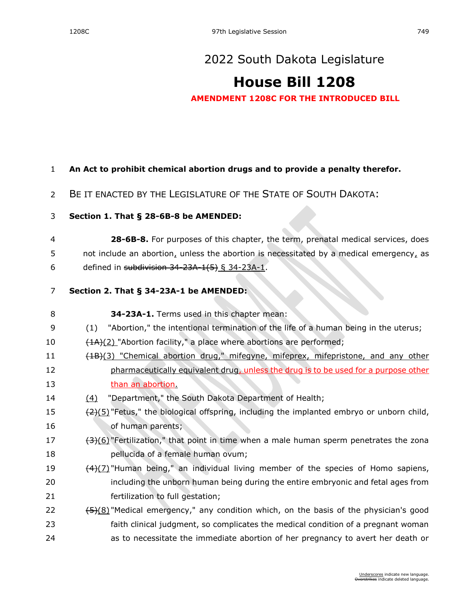## **[House Bill 1208](https://sdlegislature.gov/Session/Bill/23057)**

**AMENDMENT 1208C FOR THE INTRODUCED BILL**

|   | 2 BE IT ENACTED BY THE LEGISLATURE OF THE STATE OF SOUTH DAKOTA:                 |
|---|----------------------------------------------------------------------------------|
| 3 | Section 1. That § 28-6B-8 be AMENDED:                                            |
| 4 | 28-6B-8. For purposes of this chapter, the term, prenatal medical services, does |

1 **An Act to prohibit chemical abortion drugs and to provide a penalty therefor.**

5 not include an abortion, unless the abortion is necessitated by a medical emergency, as 6 defined in subdivision [34-23A-1\(](https://sdlegislature.gov/Statutes?Statute=34-23A-1)5) § [34-23A-1.](https://sdlegislature.gov/Statutes?Statute=34-23A-1)

## 7 **Section 2. [That § 34-23A-1 be AMENDED:](https://sdlegislature.gov/Statutes?Statute=34-23A-1)**

 **[34-23A-1.](https://sdlegislature.gov/Statutes/Codified_Laws/DisplayStatute.aspx?Type=Statute&Statute=34-23A-1)** Terms used in this chapter mean: (1) "Abortion," the intentional termination of the life of a human being in the uterus;  $\left(\frac{(1\mathsf{A})(2)}{2}\right)$  "Abortion facility," a place where abortions are performed; 11 (1B)(3) "Chemical abortion drug," mifegyne, mifeprex, mifepristone, and any other 12 pharmaceutically equivalent drug, unless the drug is to be used for a purpose other **than an abortion**. (4) "Department," the South Dakota Department of Health;  $\left(\frac{2}{5}\right)$  "Fetus," the biological offspring, including the implanted embryo or unborn child, **of human parents;**  $(3)(6)$  "Fertilization," that point in time when a male human sperm penetrates the zona **pellucida of a female human ovum;**  $(4)(7)$  "Human being," an individual living member of the species of Homo sapiens, including the unborn human being during the entire embryonic and fetal ages from fertilization to full gestation;  $\left(\frac{5}{8}\right)$  "Medical emergency," any condition which, on the basis of the physician's good faith clinical judgment, so complicates the medical condition of a pregnant woman as to necessitate the immediate abortion of her pregnancy to avert her death or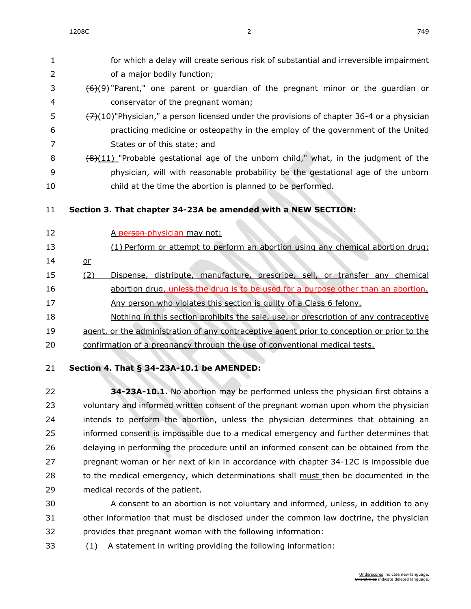## for which a delay will create serious risk of substantial and irreversible impairment of a major bodily function; 3  $(6)(9)$  "Parent," one parent or guardian of the pregnant minor or the guardian or conservator of the pregnant woman; 5  $\left(7\right)(10)$ "Physician," a person licensed under the provisions of chapter [36-4](https://sdlegislature.gov/Statutes/Codified_Laws/DisplayStatute.aspx?Type=Statute&Statute=36-4) or a physician practicing medicine or osteopathy in the employ of the government of the United States or of this state; and 8  $(8)(11)$  "Probable gestational age of the unborn child," what, in the judgment of the physician, will with reasonable probability be the gestational age of the unborn child at the time the abortion is planned to be performed. **Section 3. That chapter [34-23A](https://sdlegislature.gov/Statutes?Statute=34-23A) be amended with a NEW SECTION:** 12 A person-physician may not: (1) Perform or attempt to perform an abortion using any chemical abortion drug; or (2) Dispense, distribute, manufacture, prescribe, sell, or transfer any chemical abortion drug, unless the drug is to be used for a purpose other than an abortion. Any person who violates this section is guilty of a Class 6 felony. 18 Nothing in this section prohibits the sale, use, or prescription of any contraceptive agent, or the administration of any contraceptive agent prior to conception or prior to the confirmation of a pregnancy through the use of conventional medical tests.

## **Section 4. [That § 34-23A-10.1 be AMENDED:](https://sdlegislature.gov/Statutes?Statute=34-23A-10.1)**

 **[34-23A-10.1.](https://sdlegislature.gov/Statutes/Codified_Laws/DisplayStatute.aspx?Type=Statute&Statute=34-23A-10.1)** No abortion may be performed unless the physician first obtains a voluntary and informed written consent of the pregnant woman upon whom the physician intends to perform the abortion, unless the physician determines that obtaining an informed consent is impossible due to a medical emergency and further determines that delaying in performing the procedure until an informed consent can be obtained from the pregnant woman or her next of kin in accordance with chapter [34-12C](https://sdlegislature.gov/Statutes/Codified_Laws/DisplayStatute.aspx?Type=Statute&Statute=34-12C) is impossible due 28 to the medical emergency, which determinations shall must then be documented in the medical records of the patient.

 A consent to an abortion is not voluntary and informed, unless, in addition to any other information that must be disclosed under the common law doctrine, the physician provides that pregnant woman with the following information:

(1) A statement in writing providing the following information: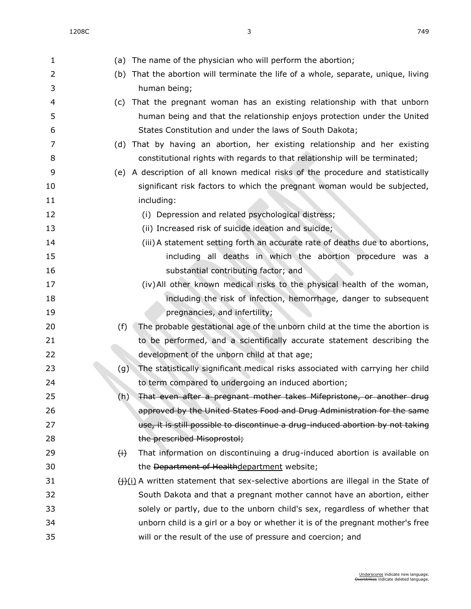| 1  | (a) The name of the physician who will perform the abortion;                                             |
|----|----------------------------------------------------------------------------------------------------------|
| 2  | That the abortion will terminate the life of a whole, separate, unique, living<br>(b)                    |
| 3  | human being;                                                                                             |
| 4  | (c) That the pregnant woman has an existing relationship with that unborn                                |
| 5  | human being and that the relationship enjoys protection under the United                                 |
| 6  | States Constitution and under the laws of South Dakota;                                                  |
| 7  | (d) That by having an abortion, her existing relationship and her existing                               |
| 8  | constitutional rights with regards to that relationship will be terminated;                              |
| 9  | (e) A description of all known medical risks of the procedure and statistically                          |
| 10 | significant risk factors to which the pregnant woman would be subjected,                                 |
| 11 | including:                                                                                               |
| 12 | (i) Depression and related psychological distress;                                                       |
| 13 | (ii) Increased risk of suicide ideation and suicide;                                                     |
| 14 | (iii) A statement setting forth an accurate rate of deaths due to abortions,                             |
| 15 | including all deaths in which the abortion procedure was a                                               |
| 16 | substantial contributing factor; and                                                                     |
| 17 | (iv) All other known medical risks to the physical health of the woman,                                  |
| 18 | including the risk of infection, hemorrhage, danger to subsequent                                        |
| 19 | pregnancies, and infertility;                                                                            |
| 20 | (f)<br>The probable gestational age of the unborn child at the time the abortion is                      |
| 21 | to be performed, and a scientifically accurate statement describing the                                  |
| 22 | development of the unborn child at that age;                                                             |
| 23 | The statistically significant medical risks associated with carrying her child<br>(g)                    |
| 24 | to term compared to undergoing an induced abortion;                                                      |
| 25 | (h)<br>That even after a pregnant mother takes Mifepristone, or another drug                             |
| 26 | approved by the United States Food and Drug Administration for the same                                  |
| 27 | use, it is still possible to discontinue a drug-induced abortion by not taking                           |
| 28 | the prescribed Misoprostol;                                                                              |
| 29 | That information on discontinuing a drug-induced abortion is available on<br>$\leftrightarrow$           |
| 30 | the Department of Healthdepartment website;                                                              |
| 31 | $\frac{f(\cdot)}{f(\cdot)}$ A written statement that sex-selective abortions are illegal in the State of |
| 32 | South Dakota and that a pregnant mother cannot have an abortion, either                                  |
| 33 | solely or partly, due to the unborn child's sex, regardless of whether that                              |
| 34 | unborn child is a girl or a boy or whether it is of the pregnant mother's free                           |
| 35 | will or the result of the use of pressure and coercion; and                                              |
|    |                                                                                                          |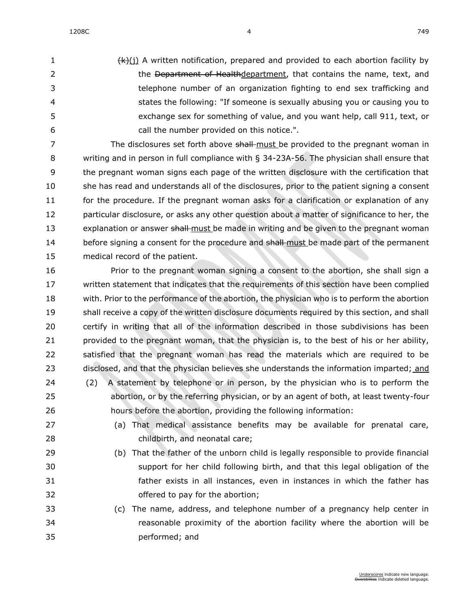$\frac{f(x)}{f(x)}$  A written notification, prepared and provided to each abortion facility by 2 the <del>Department of Healthdepartment</del>, that contains the name, text, and telephone number of an organization fighting to end sex trafficking and states the following: "If someone is sexually abusing you or causing you to exchange sex for something of value, and you want help, call 911, text, or call the number provided on this notice.".

7 The disclosures set forth above shall must be provided to the pregnant woman in writing and in person in full compliance with § [34-23A-56.](https://sdlegislature.gov/Statutes/Codified_Laws/DisplayStatute.aspx?Type=Statute&Statute=34-23A-56) The physician shall ensure that the pregnant woman signs each page of the written disclosure with the certification that she has read and understands all of the disclosures, prior to the patient signing a consent 11 for the procedure. If the pregnant woman asks for a clarification or explanation of any 12 particular disclosure, or asks any other question about a matter of significance to her, the 13 explanation or answer shall-must be made in writing and be given to the pregnant woman 14 before signing a consent for the procedure and shall must be made part of the permanent medical record of the patient.

 Prior to the pregnant woman signing a consent to the abortion, she shall sign a written statement that indicates that the requirements of this section have been complied with. Prior to the performance of the abortion, the physician who is to perform the abortion shall receive a copy of the written disclosure documents required by this section, and shall certify in writing that all of the information described in those subdivisions has been provided to the pregnant woman, that the physician is, to the best of his or her ability, satisfied that the pregnant woman has read the materials which are required to be disclosed, and that the physician believes she understands the information imparted; and

- (2) A statement by telephone or in person, by the physician who is to perform the abortion, or by the referring physician, or by an agent of both, at least twenty-four hours before the abortion, providing the following information:
- (a) That medical assistance benefits may be available for prenatal care, childbirth, and neonatal care;
- (b) That the father of the unborn child is legally responsible to provide financial support for her child following birth, and that this legal obligation of the father exists in all instances, even in instances in which the father has offered to pay for the abortion;
- (c) The name, address, and telephone number of a pregnancy help center in reasonable proximity of the abortion facility where the abortion will be performed; and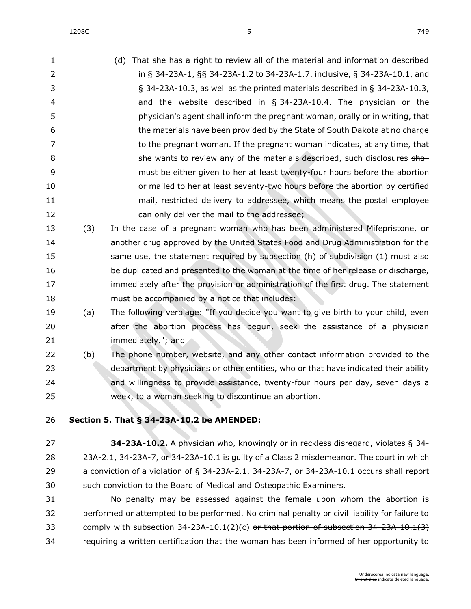1208C 5 749

| 1  |                   | (d) That she has a right to review all of the material and information described     |
|----|-------------------|--------------------------------------------------------------------------------------|
| 2  |                   | in § 34-23A-1, §§ 34-23A-1.2 to 34-23A-1.7, inclusive, § 34-23A-10.1, and            |
| 3  |                   | $\S$ 34-23A-10.3, as well as the printed materials described in $\S$ 34-23A-10.3,    |
| 4  |                   | and the website described in $\S$ 34-23A-10.4. The physician or the                  |
| 5  |                   | physician's agent shall inform the pregnant woman, orally or in writing, that        |
| 6  |                   | the materials have been provided by the State of South Dakota at no charge           |
| 7  |                   | to the pregnant woman. If the pregnant woman indicates, at any time, that            |
| 8  |                   | she wants to review any of the materials described, such disclosures shall           |
| 9  |                   | must be either given to her at least twenty-four hours before the abortion           |
| 10 |                   | or mailed to her at least seventy-two hours before the abortion by certified         |
| 11 |                   | mail, restricted delivery to addressee, which means the postal employee              |
| 12 |                   | can only deliver the mail to the addressee;                                          |
| 13 | (3)               | In the case of a pregnant woman who has been administered Mifepristone, or           |
| 14 |                   | another drug approved by the United States Food and Drug Administration for the      |
| 15 |                   | same use, the statement required by subsection (h) of subdivision (1) must also      |
| 16 |                   | be duplicated and presented to the woman at the time of her release or discharge,    |
| 17 |                   | immediately after the provision or administration of the first drug. The statement   |
| 18 |                   | must be accompanied by a notice that includes:                                       |
| 19 | $\left( a\right)$ | The following verbiage: "If you decide you want to give birth to your child, even    |
| 20 |                   | after the abortion process has begun, seek the assistance of a physician             |
| 21 |                   | immediately."; and                                                                   |
| 22 | $\Theta$          | The phone number, website, and any other contact information provided to the         |
| 23 |                   | department by physicians or other entities, who or that have indicated their ability |
| 24 |                   | and willingness to provide assistance, twenty-four hours per day, seven days a       |
| 25 |                   | week, to a woman seeking to discontinue an abortion.                                 |
|    |                   |                                                                                      |

**Section 5. [That § 34-23A-10.2 be AMENDED:](https://sdlegislature.gov/Statutes?Statute=34-23A-10.2)**

 **[34-23A-10.2.](https://sdlegislature.gov/Statutes/Codified_Laws/DisplayStatute.aspx?Type=Statute&Statute=34-23A-10.2)** A physician who, knowingly or in reckless disregard, violates § [34-](https://sdlegislature.gov/Statutes/Codified_Laws/DisplayStatute.aspx?Type=Statute&Statute=34-23A-2.1) [23A-2.1,](https://sdlegislature.gov/Statutes/Codified_Laws/DisplayStatute.aspx?Type=Statute&Statute=34-23A-2.1) [34-23A-7,](https://sdlegislature.gov/Statutes/Codified_Laws/DisplayStatute.aspx?Type=Statute&Statute=34-23A-7) or [34-23A-10.1](https://sdlegislature.gov/Statutes/Codified_Laws/DisplayStatute.aspx?Type=Statute&Statute=34-23A-10.1) is guilty of a Class 2 misdemeanor. The court in which a conviction of a violation of § [34-23A-2.1,](https://sdlegislature.gov/Statutes/Codified_Laws/DisplayStatute.aspx?Type=Statute&Statute=34-23A-2.1) [34-23A-7,](https://sdlegislature.gov/Statutes/Codified_Laws/DisplayStatute.aspx?Type=Statute&Statute=34-23A-7) or [34-23A-10.1](https://sdlegislature.gov/Statutes/Codified_Laws/DisplayStatute.aspx?Type=Statute&Statute=34-23A-10.1) occurs shall report such conviction to the Board of Medical and Osteopathic Examiners.

 No penalty may be assessed against the female upon whom the abortion is performed or attempted to be performed. No criminal penalty or civil liability for failure to 33 comply with subsection [34-23A-10.1\(](https://sdlegislature.gov/Statutes/Codified_Laws/DisplayStatute.aspx?Type=Statute&Statute=34-23A-10.1)2)(c) or that portion of subsection 34-23A-10.1(3) requiring a written certification that the woman has been informed of her opportunity to